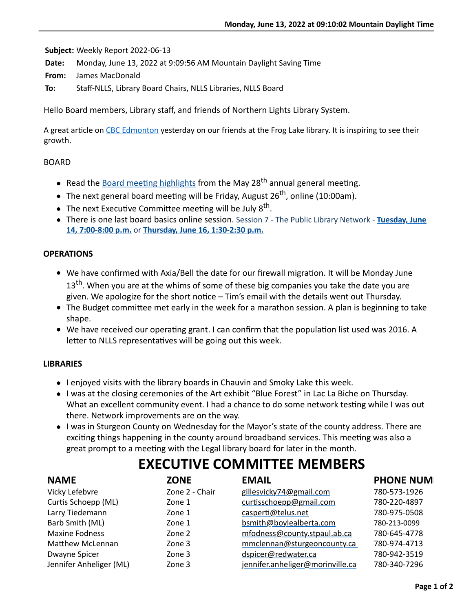**Subject:** Weekly Report 2022-06-13

**Date:** Monday, June 13, 2022 at 9:09:56 AM Mountain Daylight Saving Time

**From:** James MacDonald

**To:** Staff-NLLS, Library Board Chairs, NLLS Libraries, NLLS Board

Hello Board members, Library staff, and friends of Northern Lights Library System.

A great article on [CBC Edmonton](https://www.cbc.ca/news/canada/edmonton/frog-lake-first-nation-s-first-library-aims-to-be-a-community-hub-1.6481699) yesterday on our friends at the Frog Lake library. It is inspiring to see their growth.

#### BOARD

- Read the Board meeting highlights from the May 28<sup>th</sup> annual general meeting.
- The next general board meeting will be Friday, August 26<sup>th</sup>, online (10:00am).
- The next Executive Committee meeting will be July  $8^{th}$ .
- [There is one last board basics online session. Session 7 The Public Library Network -](https://us06web.zoom.us/meeting/register/tZMvde6oqj8iHdZcn1QjLsNg9CP12lpista8) **Tuesday, June 14, 7:00-8:00 p.m.** or **[Thursday, June 16, 1:30-2:30 p.m.](https://us06web.zoom.us/meeting/register/tZYtdOGsqzsiHtwlKzdj-3Yzv_AaG53ofAmO)**

### **OPERATIONS**

- We have confirmed with Axia/Bell the date for our firewall migration. It will be Monday June  $13<sup>th</sup>$ . When you are at the whims of some of these big companies you take the date you are given. We apologize for the short notice – Tim's email with the details went out Thursday.
- $\bullet$  The Budget committee met early in the week for a marathon session. A plan is beginning to take shape.
- $\bullet$  We have received our operating grant. I can confirm that the population list used was 2016. A letter to NLLS representatives will be going out this week.

### **LIBRARIES**

- I enjoyed visits with the library boards in Chauvin and Smoky Lake this week.
- I was at the closing ceremonies of the Art exhibit "Blue Forest" in Lac La Biche on Thursday. What an excellent community event. I had a chance to do some network testing while I was out there. Network improvements are on the way.
- I was in Sturgeon County on Wednesday for the Mayor's state of the county address. There are exciting things happening in the county around broadband services. This meeting was also a great prompt to a meeting with the Legal library board for later in the month.

# **EXECUTIVE COMMITTEE MEMBERS**

| <b>NAME</b>             | <b>ZONE</b>    | <b>EMAIL</b>                     | <b>PHONE NUMI</b> |
|-------------------------|----------------|----------------------------------|-------------------|
| Vicky Lefebvre          | Zone 2 - Chair | gillesvicky74@gmail.com          | 780-573-1926      |
| Curtis Schoepp (ML)     | Zone 1         | curtisschoepp@gmail.com          | 780-220-4897      |
| Larry Tiedemann         | Zone 1         | casperti@telus.net               | 780-975-0508      |
| Barb Smith (ML)         | Zone 1         | bsmith@boylealberta.com          | 780-213-0099      |
| <b>Maxine Fodness</b>   | Zone 2         | mfodness@county.stpaul.ab.ca     | 780-645-4778      |
| <b>Matthew McLennan</b> | Zone 3         | mmclennan@sturgeoncounty.ca      | 780-974-4713      |
| Dwayne Spicer           | Zone 3         | dspicer@redwater.ca              | 780-942-3519      |
| Jennifer Anheliger (ML) | Zone 3         | jennifer.anheliger@morinville.ca | 780-340-7296      |